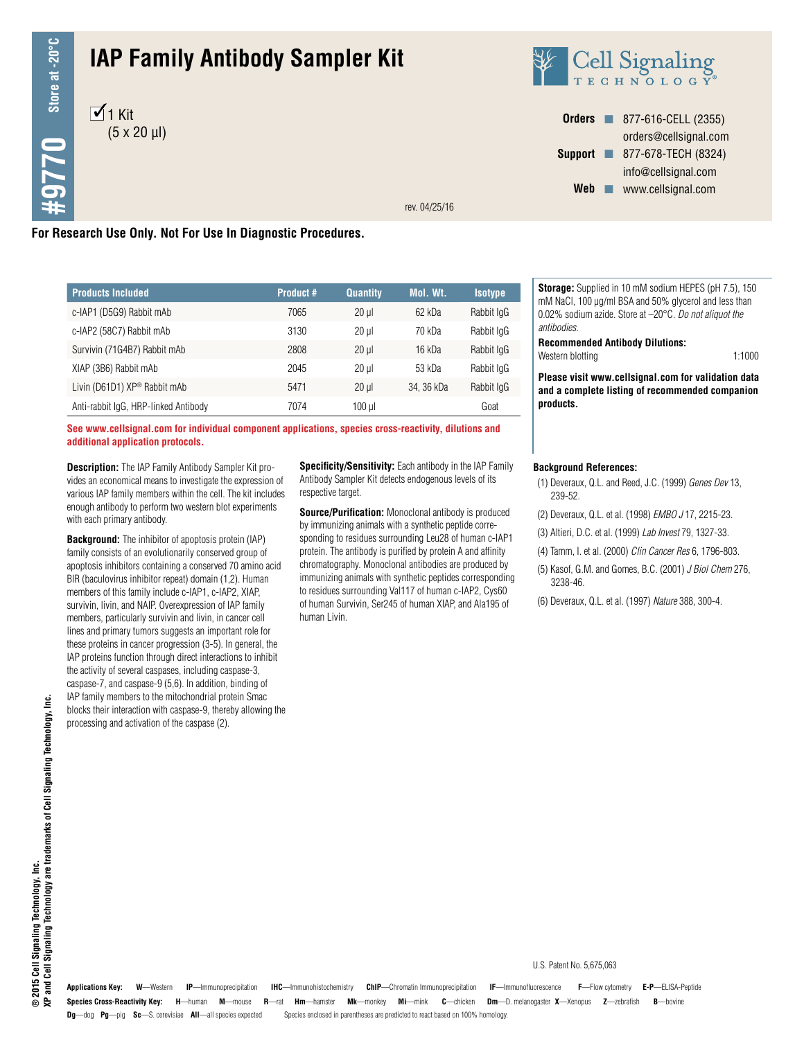# **IAP Family Antibody Sampler Kit**





**Orders n** 877-616-CELL (2355) orders@cellsignal.com **Support n** 877-678-TECH (8324) info@cellsignal.com Web www.cellsignal.com

rev. 04/25/16

## **For Research Use Only. Not For Use In Diagnostic Procedures.**

| <b>Products Included</b>             | <b>Product #</b> | <b>Quantity</b> | Mol. Wt.  | <b>Isotype</b> |
|--------------------------------------|------------------|-----------------|-----------|----------------|
| c-IAP1 (D5G9) Rabbit mAb             | 7065             | $20$ ul         | 62 kDa    | Rabbit IgG     |
| c-IAP2 (58C7) Rabbit mAb             | 3130             | $20$ ul         | 70 kDa    | Rabbit IgG     |
| Survivin (71G4B7) Rabbit mAb         | 2808             | $20 \mu$        | 16 kDa    | Rabbit IgG     |
| XIAP (3B6) Rabbit mAb                | 2045             | $20$ ul         | 53 kDa    | Rabbit IgG     |
| Livin (D61D1) XP® Rabbit mAb         | 5471             | $20$ ul         | 34.36 kDa | Rabbit IgG     |
| Anti-rabbit IgG, HRP-linked Antibody | 7074             | $100$ $\mu$     |           | Goat           |

**See www.cellsignal.com for individual component applications, species cross-reactivity, dilutions and additional application protocols.**

**Description:** The IAP Family Antibody Sampler Kit provides an economical means to investigate the expression of various IAP family members within the cell. The kit includes enough antibody to perform two western blot experiments with each primary antibody.

**Background:** The inhibitor of apoptosis protein (IAP) family consists of an evolutionarily conserved group of apoptosis inhibitors containing a conserved 70 amino acid BIR (baculovirus inhibitor repeat) domain (1,2). Human members of this family include c-IAP1, c-IAP2, XIAP, survivin, livin, and NAIP. Overexpression of IAP family members, particularly survivin and livin, in cancer cell lines and primary tumors suggests an important role for these proteins in cancer progression (3-5). In general, the IAP proteins function through direct interactions to inhibit the activity of several caspases, including caspase-3, caspase-7, and caspase-9 (5,6). In addition, binding of IAP family members to the mitochondrial protein Smac blocks their interaction with caspase-9, thereby allowing the processing and activation of the caspase (2).

**Specificity/Sensitivity:** Each antibody in the IAP Family Antibody Sampler Kit detects endogenous levels of its respective target.

**Source/Purification:** Monoclonal antibody is produced by immunizing animals with a synthetic peptide corresponding to residues surrounding Leu28 of human c-IAP1 protein. The antibody is purified by protein A and affinity chromatography. Monoclonal antibodies are produced by immunizing animals with synthetic peptides corresponding to residues surrounding Val117 of human c-IAP2, Cys60 of human Survivin, Ser245 of human XIAP, and Ala195 of human Livin.

**Storage:** Supplied in 10 mM sodium HEPES (pH 7.5), 150 mM NaCl, 100 µg/ml BSA and 50% glycerol and less than 0.02% sodium azide. Store at –20°C. *Do not aliquot the antibodies*.

**Recommended Antibody Dilutions:** Western blotting 1:1000

**Please visit www.cellsignal.com for validation data and a complete listing of recommended companion products.**

#### **Background References:**

- (1) Deveraux, Q.L. and Reed, J.C. (1999) *Genes Dev* 13, 239-52.
- (2) Deveraux, Q.L. et al. (1998) *EMBO J* 17, 2215-23.
- (3) Altieri, D.C. et al. (1999) *Lab Invest* 79, 1327-33.
- (4) Tamm, I. et al. (2000) *Clin Cancer Res* 6, 1796-803.
- (5) Kasof, G.M. and Gomes, B.C. (2001) *J Biol Chem* 276, 3238-46.
- (6) Deveraux, Q.L. et al. (1997) *Nature* 388, 300-4.

**Species Cross-Reactivity Key: H**—human **M**—mouse **R**—rat **Hm**—hamster **Mk**—monkey **Mi**—mink **C**—chicken **Dm**—D. melanogaster **X**—Xenopus **Z**—zebrafish **B**—bovine **Dg**—dog **Pg**—pig **Sc**—S. cerevisiae **All**—all species expected Species enclosed in parentheses are predicted to react based on 100% homology. **Applications Key: W**—Western **IP**—Immunoprecipitation **IHC**—Immunohistochemistry **ChIP**—Chromatin Immunoprecipitation **IF**—Immunofluorescence **F**—Flow cytometry **E-P**—ELISA-Peptide